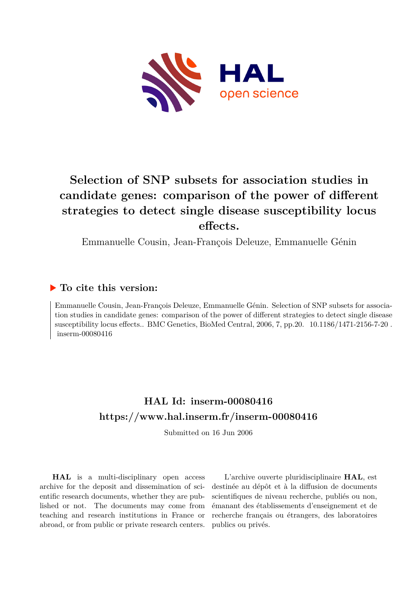

# **Selection of SNP subsets for association studies in candidate genes: comparison of the power of different strategies to detect single disease susceptibility locus effects.**

Emmanuelle Cousin, Jean-François Deleuze, Emmanuelle Génin

# **To cite this version:**

Emmanuelle Cousin, Jean-François Deleuze, Emmanuelle Génin. Selection of SNP subsets for association studies in candidate genes: comparison of the power of different strategies to detect single disease susceptibility locus effects.. BMC Genetics, BioMed Central,  $2006$ , 7, pp.20.  $10.1186/1471-2156-7-20$ .  $inserm-00080416$ 

# **HAL Id: inserm-00080416 <https://www.hal.inserm.fr/inserm-00080416>**

Submitted on 16 Jun 2006

**HAL** is a multi-disciplinary open access archive for the deposit and dissemination of scientific research documents, whether they are published or not. The documents may come from teaching and research institutions in France or abroad, or from public or private research centers.

L'archive ouverte pluridisciplinaire **HAL**, est destinée au dépôt et à la diffusion de documents scientifiques de niveau recherche, publiés ou non, émanant des établissements d'enseignement et de recherche français ou étrangers, des laboratoires publics ou privés.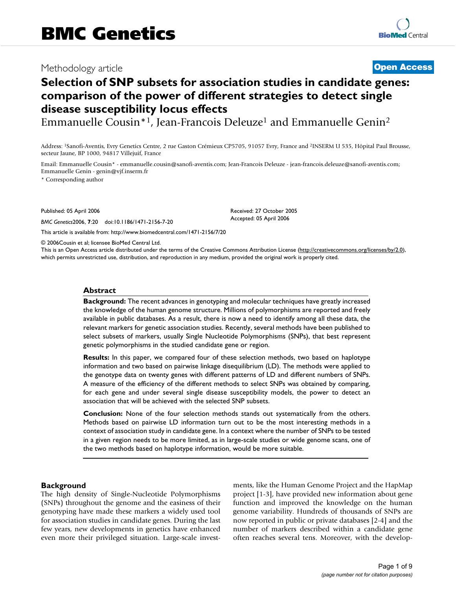# Methodology article **Contract Contract Contract Contract Contract Contract Contract Contract Contract Contract Contract Contract Contract Contract Contract Contract Contract Contract Contract Contract Contract Contract Con**

# **Selection of SNP subsets for association studies in candidate genes: comparison of the power of different strategies to detect single disease susceptibility locus effects**

Emmanuelle Cousin<sup>\*1</sup>, Jean-Francois Deleuze<sup>1</sup> and Emmanuelle Genin<sup>2</sup>

Address: <sup>1</sup>Sanofi-Aventis, Evry Genetics Centre, 2 rue Gaston Crémieux CP5705, 91057 Evry, France and <sup>2</sup>INSERM U 535, Hôpital Paul Brousse, secteur Jaune, BP 1000, 94817 Villejuif, France

Email: Emmanuelle Cousin\* - emmanuelle.cousin@sanofi-aventis.com; Jean-Francois Deleuze - jean-francois.deleuze@sanofi-aventis.com; Emmanuelle Genin - genin@vjf.inserm.fr

\* Corresponding author

Published: 05 April 2006

*BMC Genetics*2006, **7**:20 doi:10.1186/1471-2156-7-20

[This article is available from: http://www.biomedcentral.com/1471-2156/7/20](http://www.biomedcentral.com/1471-2156/7/20)

© 2006Cousin et al; licensee BioMed Central Ltd.

This is an Open Access article distributed under the terms of the Creative Commons Attribution License [\(http://creativecommons.org/licenses/by/2.0\)](http://creativecommons.org/licenses/by/2.0), which permits unrestricted use, distribution, and reproduction in any medium, provided the original work is properly cited.

Received: 27 October 2005 Accepted: 05 April 2006

## **Abstract**

**Background:** The recent advances in genotyping and molecular techniques have greatly increased the knowledge of the human genome structure. Millions of polymorphisms are reported and freely available in public databases. As a result, there is now a need to identify among all these data, the relevant markers for genetic association studies. Recently, several methods have been published to select subsets of markers, usually Single Nucleotide Polymorphisms (SNPs), that best represent genetic polymorphisms in the studied candidate gene or region.

**Results:** In this paper, we compared four of these selection methods, two based on haplotype information and two based on pairwise linkage disequilibrium (LD). The methods were applied to the genotype data on twenty genes with different patterns of LD and different numbers of SNPs. A measure of the efficiency of the different methods to select SNPs was obtained by comparing, for each gene and under several single disease susceptibility models, the power to detect an association that will be achieved with the selected SNP subsets.

**Conclusion:** None of the four selection methods stands out systematically from the others. Methods based on pairwise LD information turn out to be the most interesting methods in a context of association study in candidate gene. In a context where the number of SNPs to be tested in a given region needs to be more limited, as in large-scale studies or wide genome scans, one of the two methods based on haplotype information, would be more suitable.

## **Background**

The high density of Single-Nucleotide Polymorphisms (SNPs) throughout the genome and the easiness of their genotyping have made these markers a widely used tool for association studies in candidate genes. During the last few years, new developments in genetics have enhanced even more their privileged situation. Large-scale investments, like the Human Genome Project and the HapMap project [1-3], have provided new information about gene function and improved the knowledge on the human genome variability. Hundreds of thousands of SNPs are now reported in public or private databases [2-4] and the number of markers described within a candidate gene often reaches several tens. Moreover, with the develop-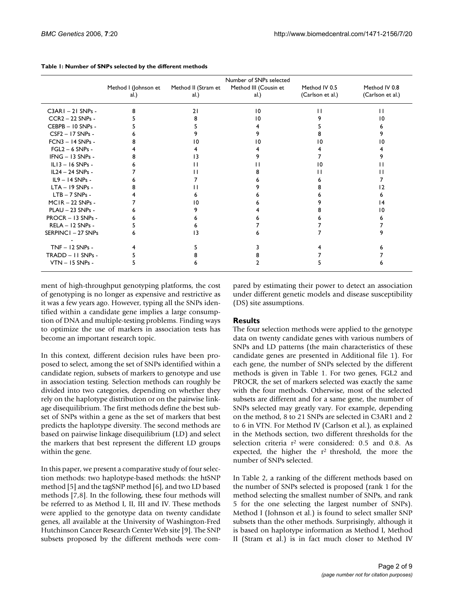|                     |                      |                     | Number of SNPs selected |                  |                  |
|---------------------|----------------------|---------------------|-------------------------|------------------|------------------|
|                     | Method I (Johnson et | Method II (Stram et | Method III (Cousin et   | Method IV 0.5    | Method IV 0.8    |
|                     | al.)                 | al.)                | al.)                    | (Carlson et al.) | (Carlson et al.) |
| $C3ARI - 2I$ SNPs - | 8                    | 21                  | 10                      | H                | $\mathbf{H}$     |
| $CCR2 - 22$ SNPs -  |                      |                     | 10                      |                  | 10               |
| CEBPB - 10 SNPs -   |                      |                     |                         |                  |                  |
| $CSF2 - 17$ SNPs -  |                      |                     |                         |                  |                  |
| $FCN3 - 14 SNPs -$  |                      | 10                  | 10                      | $\overline{10}$  | 10               |
| $FGL2 - 6$ SNPs -   |                      |                     |                         |                  |                  |
| $IFNG - 13 SNPs -$  |                      |                     |                         |                  |                  |
| $IL13 - 16$ SNPs -  |                      |                     |                         | ١O               |                  |
| $IL24 - 24$ SNPs -  |                      |                     |                         |                  |                  |
| $IL9 - 14$ SNPs -   |                      |                     |                         |                  |                  |
| $LTA - 19$ SNPs -   |                      |                     |                         |                  | 12               |
| $LTB - 7$ SNPs -    |                      |                     |                         |                  | n                |
| $MCIR - 22 SNPs -$  |                      | 10                  |                         |                  | $\overline{14}$  |
| $PLAU - 23$ SNPs -  |                      |                     |                         |                  | 10               |
| $PROCR - 13 SNPs -$ |                      |                     |                         |                  |                  |
| $RELA - 12$ SNPs -  |                      |                     |                         |                  |                  |
| SERPINCI-27 SNPs    |                      | 13                  |                         |                  |                  |
|                     |                      |                     |                         |                  |                  |
| $TNF - 12$ SNPs -   |                      |                     |                         |                  |                  |
| TRADD - II SNPs -   |                      |                     |                         |                  |                  |
| $VTN - 15$ SNPs -   |                      |                     |                         |                  |                  |

#### **Table 1: Number of SNPs selected by the different methods**

ment of high-throughput genotyping platforms, the cost of genotyping is no longer as expensive and restrictive as it was a few years ago. However, typing all the SNPs identified within a candidate gene implies a large consumption of DNA and multiple-testing problems. Finding ways to optimize the use of markers in association tests has become an important research topic.

In this context, different decision rules have been proposed to select, among the set of SNPs identified within a candidate region, subsets of markers to genotype and use in association testing. Selection methods can roughly be divided into two categories, depending on whether they rely on the haplotype distribution or on the pairwise linkage disequilibrium. The first methods define the best subset of SNPs within a gene as the set of markers that best predicts the haplotype diversity. The second methods are based on pairwise linkage disequilibrium (LD) and select the markers that best represent the different LD groups within the gene.

In this paper, we present a comparative study of four selection methods: two haplotype-based methods: the htSNP method [5] and the tagSNP method [6], and two LD based methods [7,8]. In the following, these four methods will be referred to as Method I, II, III and IV. These methods were applied to the genotype data on twenty candidate genes, all available at the University of Washington-Fred Hutchinson Cancer Research Center Web site [9]. The SNP subsets proposed by the different methods were compared by estimating their power to detect an association under different genetic models and disease susceptibility (DS) site assumptions.

# **Results**

The four selection methods were applied to the genotype data on twenty candidate genes with various numbers of SNPs and LD patterns (the main characteristics of these candidate genes are presented in Additional file 1). For each gene, the number of SNPs selected by the different methods is given in Table 1. For two genes, FGL2 and PROCR, the set of markers selected was exactly the same with the four methods. Otherwise, most of the selected subsets are different and for a same gene, the number of SNPs selected may greatly vary. For example, depending on the method, 8 to 21 SNPs are selected in C3AR1 and 2 to 6 in VTN. For Method IV (Carlson et al.), as explained in the Methods section, two different thresholds for the selection criteria  $r^2$  were considered: 0.5 and 0.8. As expected, the higher the  $r^2$  threshold, the more the number of SNPs selected.

In Table 2, a ranking of the different methods based on the number of SNPs selected is proposed (rank 1 for the method selecting the smallest number of SNPs, and rank 5 for the one selecting the largest number of SNPs). Method I (Johnson et al.) is found to select smaller SNP subsets than the other methods. Surprisingly, although it is based on haplotype information as Method I, Method II (Stram et al.) is in fact much closer to Method IV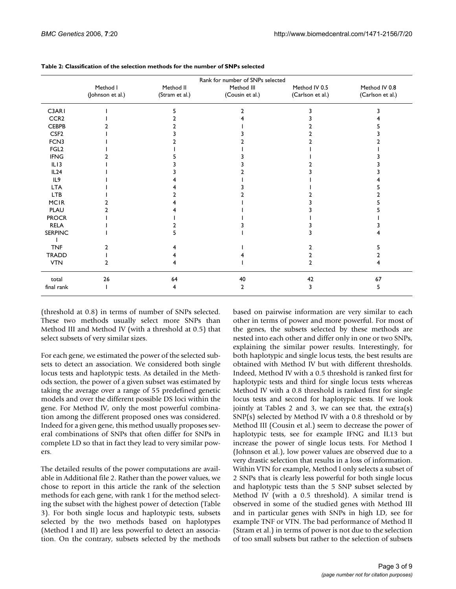|                  | Rank for number of SNPs selected |                             |                               |                                   |                                   |
|------------------|----------------------------------|-----------------------------|-------------------------------|-----------------------------------|-----------------------------------|
|                  | Method I<br>(Johnson et al.)     | Method II<br>(Stram et al.) | Method III<br>(Cousin et al.) | Method IV 0.5<br>(Carlson et al.) | Method IV 0.8<br>(Carlson et al.) |
| C3ARI            |                                  |                             |                               |                                   |                                   |
| CCR <sub>2</sub> |                                  |                             |                               |                                   |                                   |
| <b>CEBPB</b>     |                                  |                             |                               |                                   |                                   |
| CSF <sub>2</sub> |                                  |                             |                               |                                   |                                   |
| FCN3             |                                  |                             |                               |                                   |                                   |
| FGL <sub>2</sub> |                                  |                             |                               |                                   |                                   |
| <b>IFNG</b>      |                                  |                             |                               |                                   |                                   |
| IL13             |                                  |                             |                               |                                   |                                   |
| IL24             |                                  |                             |                               |                                   |                                   |
| IL9              |                                  |                             |                               |                                   |                                   |
| <b>LTA</b>       |                                  |                             |                               |                                   |                                   |
| <b>LTB</b>       |                                  |                             |                               |                                   |                                   |
| <b>MCIR</b>      |                                  |                             |                               |                                   |                                   |
| PLAU             |                                  |                             |                               |                                   |                                   |
| <b>PROCR</b>     |                                  |                             |                               |                                   |                                   |
| <b>RELA</b>      |                                  |                             |                               |                                   |                                   |
| <b>SERPINC</b>   |                                  |                             |                               |                                   |                                   |
| <b>TNF</b>       |                                  |                             |                               |                                   |                                   |
| <b>TRADD</b>     |                                  |                             |                               |                                   |                                   |
| <b>VTN</b>       | 2                                |                             |                               | 2                                 |                                   |
| total            | 26                               | 64                          | 40                            | 42                                | 67                                |
| final rank       |                                  |                             | 2                             |                                   | 5                                 |

#### **Table 2: Classification of the selection methods for the number of SNPs selected**

(threshold at 0.8) in terms of number of SNPs selected. These two methods usually select more SNPs than Method III and Method IV (with a threshold at 0.5) that select subsets of very similar sizes.

For each gene, we estimated the power of the selected subsets to detect an association. We considered both single locus tests and haplotypic tests. As detailed in the Methods section, the power of a given subset was estimated by taking the average over a range of 55 predefined genetic models and over the different possible DS loci within the gene. For Method IV, only the most powerful combination among the different proposed ones was considered. Indeed for a given gene, this method usually proposes several combinations of SNPs that often differ for SNPs in complete LD so that in fact they lead to very similar powers.

The detailed results of the power computations are available in Additional file 2. Rather than the power values, we chose to report in this article the rank of the selection methods for each gene, with rank 1 for the method selecting the subset with the highest power of detection (Table 3). For both single locus and haplotypic tests, subsets selected by the two methods based on haplotypes (Method I and II) are less powerful to detect an association. On the contrary, subsets selected by the methods based on pairwise information are very similar to each other in terms of power and more powerful. For most of the genes, the subsets selected by these methods are nested into each other and differ only in one or two SNPs, explaining the similar power results. Interestingly, for both haplotypic and single locus tests, the best results are obtained with Method IV but with different thresholds. Indeed, Method IV with a 0.5 threshold is ranked first for haplotypic tests and third for single locus tests whereas Method IV with a 0.8 threshold is ranked first for single locus tests and second for haplotypic tests. If we look jointly at Tables 2 and 3, we can see that, the extra(s) SNP(s) selected by Method IV with a 0.8 threshold or by Method III (Cousin et al.) seem to decrease the power of haplotypic tests, see for example IFNG and IL13 but increase the power of single locus tests. For Method I (Johnson et al.), low power values are observed due to a very drastic selection that results in a loss of information. Within VTN for example, Method I only selects a subset of 2 SNPs that is clearly less powerful for both single locus and haplotypic tests than the 5 SNP subset selected by Method IV (with a 0.5 threshold). A similar trend is observed in some of the studied genes with Method III and in particular genes with SNPs in high LD, see for example TNF or VTN. The bad performance of Method II (Stram et al.) in terms of power is not due to the selection of too small subsets but rather to the selection of subsets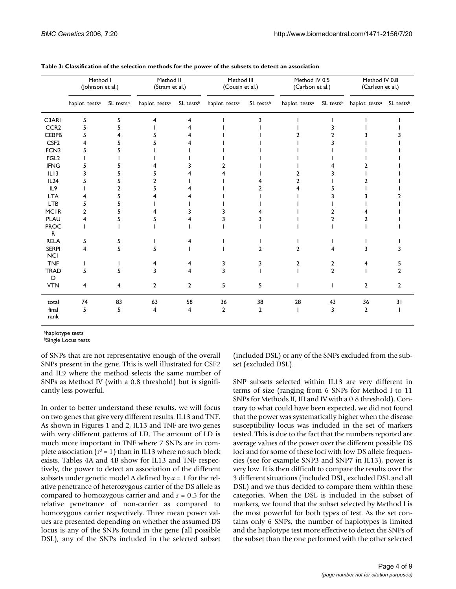|                            | Method I<br>(Johnson et al.) |                       | Method II<br>(Stram et al.) |                       | Method III<br>(Cousin et al.) |                | Method IV 0.5<br>(Carlson et al.) |                       | Method IV 0.8<br>(Carlson et al.) |                |
|----------------------------|------------------------------|-----------------------|-----------------------------|-----------------------|-------------------------------|----------------|-----------------------------------|-----------------------|-----------------------------------|----------------|
|                            | haplot. tests <sup>a</sup>   | SL tests <sup>b</sup> | haplot. tests <sup>a</sup>  | SL tests <sup>b</sup> | haplot. tests <sup>a</sup>    | SL testsb      | haplot. tests <sup>a</sup>        | SL tests <sup>b</sup> | haplot. tests <sup>a</sup>        | SL testsb      |
| C3AR1                      | 5                            | 5                     |                             |                       |                               |                |                                   |                       |                                   |                |
| CCR <sub>2</sub>           | 5                            | 5                     |                             |                       |                               |                |                                   |                       |                                   |                |
| <b>CEBPB</b>               | 5                            |                       |                             |                       |                               |                |                                   |                       |                                   |                |
| CSF <sub>2</sub>           |                              | 5                     |                             |                       |                               |                |                                   |                       |                                   |                |
| FCN3                       | 5                            |                       |                             |                       |                               |                |                                   |                       |                                   |                |
| FGL <sub>2</sub>           |                              |                       |                             |                       |                               |                |                                   |                       |                                   |                |
| <b>IFNG</b>                |                              |                       |                             |                       |                               |                |                                   |                       |                                   |                |
| ILI3                       |                              | 5                     |                             |                       |                               |                |                                   |                       |                                   |                |
| IL24                       |                              | 5                     |                             |                       |                               |                |                                   |                       | 7                                 |                |
| IL9                        |                              |                       |                             |                       |                               |                |                                   |                       |                                   |                |
| <b>LTA</b>                 |                              | 5                     |                             |                       |                               |                |                                   |                       |                                   |                |
| <b>LTB</b>                 | 5                            | 5                     |                             |                       |                               |                |                                   |                       |                                   |                |
| <b>MCIR</b>                | 2                            | 5                     |                             |                       |                               |                |                                   |                       |                                   |                |
| PLAU                       | 4                            | 5                     |                             |                       |                               |                |                                   |                       | 2                                 |                |
| <b>PROC</b><br>R           |                              |                       |                             |                       |                               |                |                                   |                       |                                   |                |
| <b>RELA</b>                | 5                            | 5                     |                             |                       |                               |                |                                   |                       |                                   |                |
| <b>SERPI</b><br><b>NCI</b> | 4                            | 5                     |                             |                       |                               | 2              | $\mathbf{2}$                      |                       | 3                                 |                |
| <b>TNF</b>                 |                              |                       |                             |                       | 3                             | 3              | 2                                 | 2                     | 4                                 |                |
| <b>TRAD</b><br>D           | 5                            | 5                     | 3                           | 4                     | 3                             |                |                                   | $\overline{2}$        |                                   | 2              |
| <b>VTN</b>                 | 4                            | 4                     | $\overline{2}$              | $\overline{2}$        | 5                             | 5              | T                                 |                       | 2                                 | $\overline{2}$ |
| total                      | 74                           | 83                    | 63                          | 58                    | 36                            | 38             | 28                                | 43                    | 36                                | 31             |
| final<br>rank              | 5                            | 5                     | $\overline{4}$              | $\overline{4}$        | $\overline{2}$                | $\overline{2}$ | т                                 | 3                     | $\overline{2}$                    |                |

|  |  |  |  |  | Table 3: Classification of the selection methods for the power of the subsets to detect an association |
|--|--|--|--|--|--------------------------------------------------------------------------------------------------------|
|--|--|--|--|--|--------------------------------------------------------------------------------------------------------|

<sup>a</sup>haplotype tests

**bSingle Locus tests** 

of SNPs that are not representative enough of the overall SNPs present in the gene. This is well illustrated for CSF2 and IL9 where the method selects the same number of SNPs as Method IV (with a 0.8 threshold) but is significantly less powerful.

In order to better understand these results, we will focus on two genes that give very different results: IL13 and TNF. As shown in Figures 1 and 2, IL13 and TNF are two genes with very different patterns of LD. The amount of LD is much more important in TNF where 7 SNPs are in complete association ( $r^2$  = 1) than in IL13 where no such block exists. Tables 4A and 4B show for IL13 and TNF respectively, the power to detect an association of the different subsets under genetic model A defined by *x* = 1 for the relative penetrance of heterozygous carrier of the DS allele as compared to homozygous carrier and and *s* = 0.5 for the relative penetrance of non-carrier as compared to homozygous carrier respectively. Three mean power values are presented depending on whether the assumed DS locus is any of the SNPs found in the gene (all possible DSL), any of the SNPs included in the selected subset

(included DSL) or any of the SNPs excluded from the subset (excluded DSL).

SNP subsets selected within IL13 are very different in terms of size (ranging from 6 SNPs for Method I to 11 SNPs for Methods II, III and IV with a 0.8 threshold). Contrary to what could have been expected, we did not found that the power was systematically higher when the disease susceptibility locus was included in the set of markers tested. This is due to the fact that the numbers reported are average values of the power over the different possible DS loci and for some of these loci with low DS allele frequencies (see for example SNP3 and SNP7 in IL13), power is very low. It is then difficult to compare the results over the 3 different situations (included DSL, excluded DSL and all DSL) and we thus decided to compare them within these categories. When the DSL is included in the subset of markers, we found that the subset selected by Method I is the most powerful for both types of test. As the set contains only 6 SNPs, the number of haplotypes is limited and the haplotype test more effective to detect the SNPs of the subset than the one performed with the other selected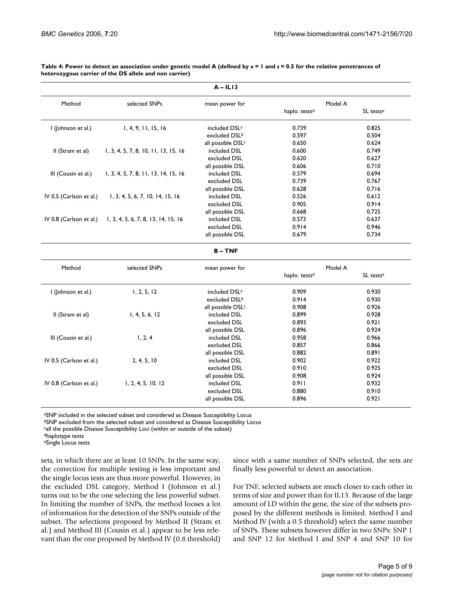|                         |                                      | $A - IL13$                    |                           |                       |
|-------------------------|--------------------------------------|-------------------------------|---------------------------|-----------------------|
| Method                  | selected SNPs                        | mean power for                | Model A                   |                       |
|                         |                                      |                               | haplo. tests <sup>d</sup> | SL tests <sup>e</sup> |
| I (Johnson et al.)      | 1, 4, 9, 11, 15, 16                  | included DSL <sup>a</sup>     | 0.739                     | 0.825                 |
|                         |                                      | excluded DSL <sup>b</sup>     | 0.597                     | 0.504                 |
|                         |                                      | all possible DSL <sup>c</sup> | 0.650                     | 0.624                 |
| Il (Stram et al)        | 1, 3, 4, 5, 7, 8, 10, 11, 13, 15, 16 | included DSL                  | 0.600                     | 0.749                 |
|                         |                                      | excluded DSL                  | 0.620                     | 0.627                 |
|                         |                                      | all possible DSL              | 0.606                     | 0.710                 |
| III (Cousin et al.)     | 1, 3, 4, 5, 7, 8, 11, 13, 14, 15, 16 | included DSL                  | 0.579                     | 0.694                 |
|                         |                                      | excluded DSL                  | 0.739                     | 0.767                 |
|                         |                                      | all possible DSL              | 0.628                     | 0.716                 |
| IV 0.5 (Carlson et al.) | 1, 3, 4, 5, 6, 7, 10, 14, 15, 16     | included DSL                  | 0.526                     | 0.612                 |
|                         |                                      | excluded DSL                  | 0.905                     | 0.914                 |
|                         |                                      | all possible DSL              | 0.668                     | 0.725                 |
| IV 0.8 (Carlson et al.) | 1, 3, 4, 5, 6, 7, 8, 13, 14, 15, 16  | included DSL                  | 0.573                     | 0.637                 |
|                         |                                      | excluded DSL                  | 0.914                     | 0.946                 |
|                         |                                      | all possible DSL              | 0.679                     | 0.734                 |
|                         |                                      | $B - TNF$                     |                           |                       |
| Method                  | selected SNPs                        | mean power for                | Model A                   |                       |
|                         |                                      |                               | haplo. tests <sup>d</sup> | SL tests <sup>e</sup> |
| I (Johnson et al.)      | 1, 2, 5, 12                          | included DSL <sup>a</sup>     | 0.909                     | 0.930                 |
|                         |                                      | excluded DSL <sup>b</sup>     | 0.914                     | 0.930                 |
|                         |                                      | all possible DSL <sup>c</sup> | 0.908                     | 0.926                 |
| II (Stram et al)        | 1, 4, 5, 6, 12                       | included DSL                  | 0.899                     | 0.928                 |
|                         |                                      | excluded DSL                  | 0.893                     | 0.921                 |
|                         |                                      | all possible DSL              | 0.896                     | 0.924                 |
| III (Cousin et al.)     | 1, 2, 4                              | included DSL                  | 0.958                     | 0.966                 |
|                         |                                      | excluded DSL                  | 0.857                     | 0.866                 |
|                         |                                      | all possible DSL              | 0.882                     | 0.891                 |
| IV 0.5 (Carlson et al.) | 2, 4, 5, 10                          | included DSL                  | 0.902                     | 0.922                 |
|                         |                                      | excluded DSL                  | 0.910                     | 0.925                 |
|                         |                                      | all possible DSL              | 0.908                     | 0.924                 |
| IV 0.8 (Carlson et al.) | 1, 2, 4, 5, 10, 12                   | included DSL                  | 0.911                     | 0.932                 |
|                         |                                      | excluded DSL                  | 0.880                     | 0.910                 |
|                         |                                      | all possible DSL              | 0.896                     | 0.921                 |

**Table 4: Power to detect an association under genetic model A (defined by** *x* **= 1 and** *s* **= 0.5 for the relative penetrances of heterozygous carrier of the DS allele and non carrier)**

aSNP included in the selected subset and considered as Disease Susceptibility Locus

<sup>b</sup>SNP excluded from the selected subset and considered as Disease Susceptibility Locus

<sup>c</sup>all the possible Disease Susceptibility Loci (within or outside of the subset)

eSingle Locus tests

sets, in which there are at least 10 SNPs. In the same way, the correction for multiple testing is less important and the single locus tests are thus more powerful. However, in the excluded DSL category, Method I (Johnson et al.) turns out to be the one selecting the less powerful subset. In limiting the number of SNPs, the method looses a lot of information for the detection of the SNPs outside of the subset. The selections proposed by Method II (Stram et al.) and Method III (Cousin et al.) appear to be less relevant than the one proposed by Method IV (0.8 threshold)

since with a same number of SNPs selected, the sets are finally less powerful to detect an association.

For TNF, selected subsets are much closer to each other in terms of size and power than for IL13. Because of the large amount of LD within the gene, the size of the subsets proposed by the different methods is limited. Method I and Method IV (with a 0.5 threshold) select the same number of SNPs. These subsets however differ in two SNPs: SNP 1 and SNP 12 for Method I and SNP 4 and SNP 10 for

<sup>d</sup>haplotype tests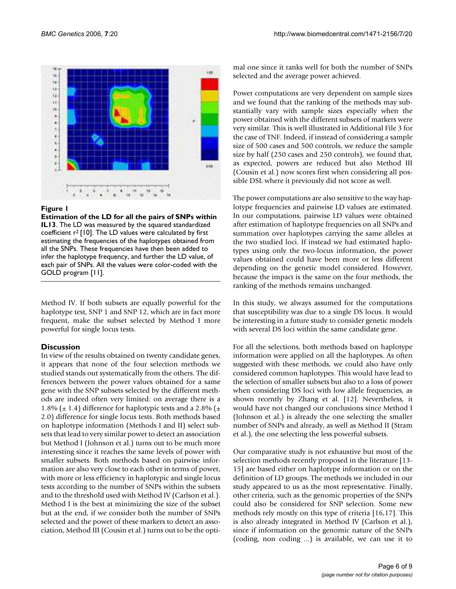

# **Figure 1**

**Estimation of the LD for all the pairs of SNPs within IL13**. The LD was measured by the squared standardized coefficient  $r^2$  [10]. The LD values were calculated by first estimating the frequencies of the haplotypes obtained from all the SNPs. These frequencies have then been added to infer the haplotype frequency, and further the LD value, of each pair of SNPs. All the values were color-coded with the GOLD program [11].

Method IV. If both subsets are equally powerful for the haplotype test, SNP 1 and SNP 12, which are in fact more frequent, make the subset selected by Method I more powerful for single locus tests.

# **Discussion**

In view of the results obtained on twenty candidate genes, it appears that none of the four selection methods we studied stands out systematically from the others. The differences between the power values obtained for a same gene with the SNP subsets selected by the different methods are indeed often very limited: on average there is a 1.8% ( $\pm$  1.4) difference for haplotypic tests and a 2.8% ( $\pm$ 2.0) difference for single locus tests. Both methods based on haplotype information (Methods I and II) select subsets that lead to very similar power to detect an association but Method I (Johnson et al.) turns out to be much more interesting since it reaches the same levels of power with smaller subsets. Both methods based on pairwise information are also very close to each other in terms of power, with more or less efficiency in haplotypic and single locus tests according to the number of SNPs within the subsets and to the threshold used with Method IV (Carlson et al.). Method I is the best at minimizing the size of the subset but at the end, if we consider both the number of SNPs selected and the power of these markers to detect an association, Method III (Cousin et al.) turns out to be the optimal one since it ranks well for both the number of SNPs selected and the average power achieved.

Power computations are very dependent on sample sizes and we found that the ranking of the methods may substantially vary with sample sizes especially when the power obtained with the different subsets of markers were very similar. This is well illustrated in Additional File 3 for the case of TNF. Indeed, if instead of considering a sample size of 500 cases and 500 controls, we reduce the sample size by half (250 cases and 250 controls), we found that, as expected, powers are reduced but also Method III (Cousin et al.) now scores first when considering all possible DSL where it previously did not score as well.

The power computations are also sensitive to the way haplotype frequencies and pairwise LD values are estimated. In our computations, pairwise LD values were obtained after estimation of haplotype frequencies on all SNPs and summation over haplotypes carrying the same alleles at the two studied loci. If instead we had estimated haplotypes using only the two-locus information, the power values obtained could have been more or less different depending on the genetic model considered. However, because the impact is the same on the four methods, the ranking of the methods remains unchanged.

In this study, we always assumed for the computations that susceptibility was due to a single DS locus. It would be interesting in a future study to consider genetic models with several DS loci within the same candidate gene.

For all the selections, both methods based on haplotype information were applied on all the haplotypes. As often suggested with these methods, we could also have only considered common haplotypes. This would have lead to the selection of smaller subsets but also to a loss of power when considering DS loci with low allele frequencies, as shown recently by Zhang et al. [12]. Nevertheless, it would have not changed our conclusions since Method I (Johnson et al.) is already the one selecting the smaller number of SNPs and already, as well as Method II (Stram et al.), the one selecting the less powerful subsets.

Our comparative study is not exhaustive but most of the selection methods recently proposed in the literature [13- 15] are based either on haplotype information or on the definition of LD groups. The methods we included in our study appeared to us as the most representative. Finally, other criteria, such as the genomic properties of the SNPs could also be considered for SNP selection. Some new methods rely mostly on this type of criteria [16,17]. This is also already integrated in Method IV (Carlson et al.), since if information on the genomic nature of the SNPs (coding, non coding ...) is available, we can use it to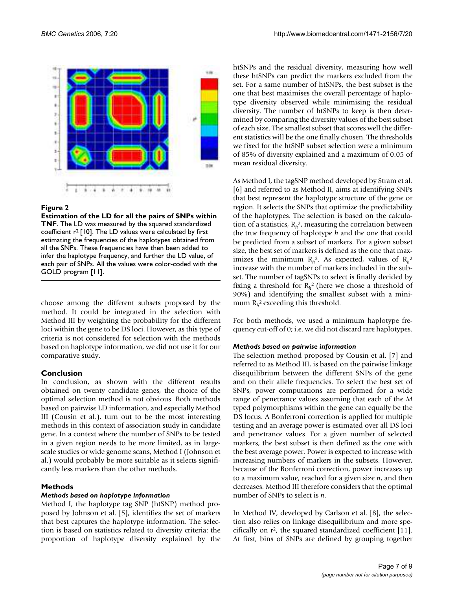

## Figure 2

**Estimation of the LD for all the pairs of SNPs within TNF**. The LD was measured by the squared standardized coefficient r<sup>2</sup>[10]. The LD values were calculated by first estimating the frequencies of the haplotypes obtained from all the SNPs. These frequencies have then been added to infer the haplotype frequency, and further the LD value, of each pair of SNPs. All the values were color-coded with the GOLD program [11].

choose among the different subsets proposed by the method. It could be integrated in the selection with Method III by weighting the probability for the different loci within the gene to be DS loci. However, as this type of criteria is not considered for selection with the methods based on haplotype information, we did not use it for our comparative study.

# **Conclusion**

In conclusion, as shown with the different results obtained on twenty candidate genes, the choice of the optimal selection method is not obvious. Both methods based on pairwise LD information, and especially Method III (Cousin et al.), turn out to be the most interesting methods in this context of association study in candidate gene. In a context where the number of SNPs to be tested in a given region needs to be more limited, as in largescale studies or wide genome scans, Method I (Johnson et al.) would probably be more suitable as it selects significantly less markers than the other methods.

# **Methods**

# *Methods based on haplotype information*

Method I, the haplotype tag SNP (htSNP) method proposed by Johnson et al. [5], identifies the set of markers that best captures the haplotype information. The selection is based on statistics related to diversity criteria: the proportion of haplotype diversity explained by the htSNPs and the residual diversity, measuring how well these htSNPs can predict the markers excluded from the set. For a same number of htSNPs, the best subset is the one that best maximises the overall percentage of haplotype diversity observed while minimising the residual diversity. The number of htSNPs to keep is then determined by comparing the diversity values of the best subset of each size. The smallest subset that scores well the different statistics will be the one finally chosen. The thresholds we fixed for the htSNP subset selection were a minimum of 85% of diversity explained and a maximum of 0.05 of mean residual diversity.

As Method I, the tagSNP method developed by Stram et al. [6] and referred to as Method II, aims at identifying SNPs that best represent the haplotype structure of the gene or region. It selects the SNPs that optimize the predictability of the haplotypes. The selection is based on the calculation of a statistics, R*<sup>h</sup>* <sup>2</sup>, measuring the correlation between the true frequency of haplotype *h* and the one that could be predicted from a subset of markers. For a given subset size, the best set of markers is defined as the one that maximizes the minimum  $R_h^2$ . As expected, values of  $R_h^2$ increase with the number of markers included in the subset. The number of tagSNPs to select is finally decided by fixing a threshold for  $R_h^2$  (here we chose a threshold of 90%) and identifying the smallest subset with a minimum  $R_h^2$  exceeding this threshold.

For both methods, we used a minimum haplotype frequency cut-off of 0; i.e. we did not discard rare haplotypes.

# *Methods based on pairwise information*

The selection method proposed by Cousin et al. [7] and referred to as Method III, is based on the pairwise linkage disequilibrium between the different SNPs of the gene and on their allele frequencies. To select the best set of SNPs, power computations are performed for a wide range of penetrance values assuming that each of the *M* typed polymorphisms within the gene can equally be the DS locus. A Bonferroni correction is applied for multiple testing and an average power is estimated over all DS loci and penetrance values. For a given number of selected markers, the best subset is then defined as the one with the best average power. Power is expected to increase with increasing numbers of markers in the subsets. However, because of the Bonferroni correction, power increases up to a maximum value, reached for a given size *n*, and then decreases. Method III therefore considers that the optimal number of SNPs to select is *n*.

In Method IV, developed by Carlson et al. [8], the selection also relies on linkage disequilibrium and more specifically on r<sup>2</sup>, the squared standardized coefficient [11]. At first, bins of SNPs are defined by grouping together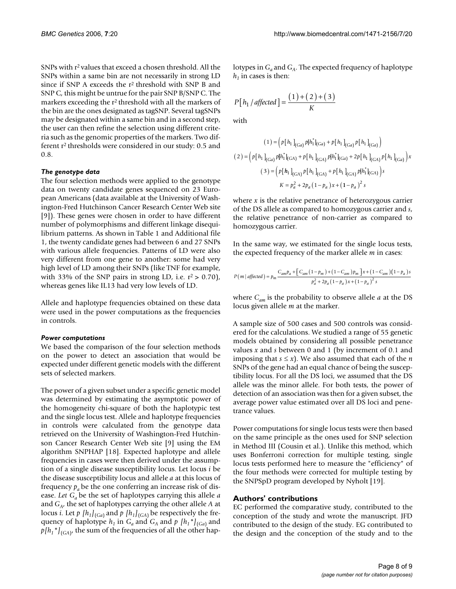SNPs with r<sup>2</sup> values that exceed a chosen threshold. All the SNPs within a same bin are not necessarily in strong LD since if SNP A exceeds the r<sup>2</sup> threshold with SNP B and SNP C, this might be untrue for the pair SNP B/SNP C. The markers exceeding the r<sup>2</sup> threshold with all the markers of the bin are the ones designated as tagSNP. Several tagSNPs may be designated within a same bin and in a second step, the user can then refine the selection using different criteria such as the genomic properties of the markers. Two different r<sup>2</sup> thresholds were considered in our study: 0.5 and 0.8.

#### *The genotype data*

The four selection methods were applied to the genotype data on twenty candidate genes sequenced on 23 European Americans (data available at the University of Washington-Fred Hutchinson Cancer Research Center Web site [9]). These genes were chosen in order to have different number of polymorphisms and different linkage disequilibrium patterns. As shown in Table 1 and Additional file 1, the twenty candidate genes had between 6 and 27 SNPs with various allele frequencies. Patterns of LD were also very different from one gene to another: some had very high level of LD among their SNPs (like TNF for example, with 33% of the SNP pairs in strong LD, i.e.  $r^2 > 0.70$ ), whereas genes like IL13 had very low levels of LD.

Allele and haplotype frequencies obtained on these data were used in the power computations as the frequencies in controls.

#### *Power computations*

We based the comparison of the four selection methods on the power to detect an association that would be expected under different genetic models with the different sets of selected markers.

The power of a given subset under a specific genetic model was determined by estimating the asymptotic power of the homogeneity chi-square of both the haplotypic test and the single locus test. Allele and haplotype frequencies in controls were calculated from the genotype data retrieved on the University of Washington-Fred Hutchinson Cancer Research Center Web site [9] using the EM algorithm SNPHAP [18]. Expected haplotype and allele frequencies in cases were then derived under the assumption of a single disease susceptibility locus. Let locus *i* be the disease susceptibility locus and allele *a* at this locus of frequency  $p_a$  be the one conferring an increase risk of disease. *Let Ga* be the set of haplotypes carrying this allele *a* and *G<sup>A</sup>* , the set of haplotypes carrying the other allele *A* at locus *i*. Let  $p \left[ h_1 \right]_{(Ga)}$  and  $p \left[ h_1 \right]_{(GA)}$  be respectively the frequency of haplotype  $h_1$  in  $G_a$  and  $G_A$  and  $p \left[ h_1 \right]_{(Ga)}$  and  $p[h_1^*]_{(GA)}$ , the sum of the frequencies of all the other hap-

lotypes in *Ga* and *G<sup>A</sup>* . The expected frequency of haplotype  $h_1$  in cases is then:

$$
P[h_1 / affected] = \frac{(1) + (2) + (3)}{K}
$$

with

$$
(1) = \left( p[h_1]_{(Ga)} p[h_1^*]_{(Ga)} + p[h_1]_{(Ga)} p[h_1]_{(Ga)} \right)
$$
  

$$
(2) = \left( p[h_1]_{(Ga)} p[h_1^*]_{(Ga)} + p[h_1]_{(Ga)} p[h_1^*]_{(Ga)} + 2p[h_1]_{(Ga)} p[h_1]_{(Ga)} \right) x
$$
  

$$
(3) = \left( p[h_1]_{(GA)} p[h_1]_{(Ga)} + p[h_1]_{(GA)} p[h_1^*]_{(CA)} \right) s
$$
  

$$
K = p_a^2 + 2p_a (1 - p_a) x + (1 - p_a)^2 s
$$

where *x* is the relative penetrance of heterozygous carrier of the DS allele as compared to homozygous carrier and *s*, the relative penetrance of non-carrier as compared to homozygous carrier.

In the same way, we estimated for the single locus tests, the expected frequency of the marker allele *m* in cases:

$$
P(m | affected) = p_m \frac{C_{am}p_a + [C_{am} (1 - p_m) + (1 - C_{am})p_m]x + (1 - C_{am}) (1 - p_a)s}{p_a^2 + 2p_a (1 - p_a)x + (1 - p_a)^2 s}
$$

where *Cam* is the probability to observe allele *a* at the DS locus given allele *m* at the marker.

A sample size of 500 cases and 500 controls was considered for the calculations. We studied a range of 55 genetic models obtained by considering all possible penetrance values *x* and *s* between 0 and 1 (by increment of 0.1 and imposing that  $s \leq x$ ). We also assumed that each of the *n* SNPs of the gene had an equal chance of being the susceptibility locus. For all the DS loci, we assumed that the DS allele was the minor allele. For both tests, the power of detection of an association was then for a given subset, the average power value estimated over all DS loci and penetrance values.

Power computations for single locus tests were then based on the same principle as the ones used for SNP selection in Method III (Cousin et al.). Unlike this method, which uses Bonferroni correction for multiple testing, single locus tests performed here to measure the "efficiency" of the four methods were corrected for multiple testing by the SNPSpD program developed by Nyholt [19].

# **Authors' contributions**

EC performed the comparative study, contributed to the conception of the study and wrote the manuscript. JFD contributed to the design of the study. EG contributed to the design and the conception of the study and to the